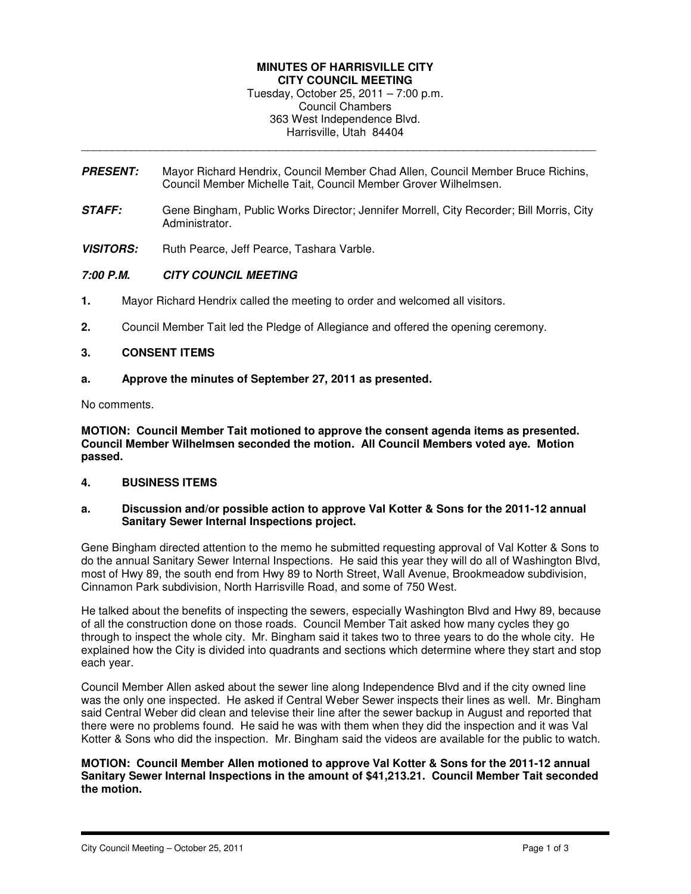# **MINUTES OF HARRISVILLE CITY CITY COUNCIL MEETING**

Tuesday, October 25, 2011 – 7:00 p.m. Council Chambers 363 West Independence Blvd. Harrisville, Utah 84404

**PRESENT:** Mayor Richard Hendrix, Council Member Chad Allen, Council Member Bruce Richins, Council Member Michelle Tait, Council Member Grover Wilhelmsen.

\_\_\_\_\_\_\_\_\_\_\_\_\_\_\_\_\_\_\_\_\_\_\_\_\_\_\_\_\_\_\_\_\_\_\_\_\_\_\_\_\_\_\_\_\_\_\_\_\_\_\_\_\_\_\_\_\_\_\_\_\_\_\_\_\_\_\_\_\_\_\_\_\_\_\_\_\_\_\_\_\_\_

- **STAFF:** Gene Bingham, Public Works Director; Jennifer Morrell, City Recorder; Bill Morris, City Administrator.
- **VISITORS:** Ruth Pearce, Jeff Pearce, Tashara Varble.

### **7:00 P.M. CITY COUNCIL MEETING**

- **1.** Mayor Richard Hendrix called the meeting to order and welcomed all visitors.
- **2.** Council Member Tait led the Pledge of Allegiance and offered the opening ceremony.

### **3. CONSENT ITEMS**

### **a. Approve the minutes of September 27, 2011 as presented.**

No comments.

**MOTION: Council Member Tait motioned to approve the consent agenda items as presented. Council Member Wilhelmsen seconded the motion. All Council Members voted aye. Motion passed.** 

#### **4. BUSINESS ITEMS**

### **a. Discussion and/or possible action to approve Val Kotter & Sons for the 2011-12 annual Sanitary Sewer Internal Inspections project.**

Gene Bingham directed attention to the memo he submitted requesting approval of Val Kotter & Sons to do the annual Sanitary Sewer Internal Inspections. He said this year they will do all of Washington Blvd, most of Hwy 89, the south end from Hwy 89 to North Street, Wall Avenue, Brookmeadow subdivision, Cinnamon Park subdivision, North Harrisville Road, and some of 750 West.

He talked about the benefits of inspecting the sewers, especially Washington Blvd and Hwy 89, because of all the construction done on those roads. Council Member Tait asked how many cycles they go through to inspect the whole city. Mr. Bingham said it takes two to three years to do the whole city. He explained how the City is divided into quadrants and sections which determine where they start and stop each year.

Council Member Allen asked about the sewer line along Independence Blvd and if the city owned line was the only one inspected. He asked if Central Weber Sewer inspects their lines as well. Mr. Bingham said Central Weber did clean and televise their line after the sewer backup in August and reported that there were no problems found. He said he was with them when they did the inspection and it was Val Kotter & Sons who did the inspection. Mr. Bingham said the videos are available for the public to watch.

### **MOTION: Council Member Allen motioned to approve Val Kotter & Sons for the 2011-12 annual Sanitary Sewer Internal Inspections in the amount of \$41,213.21. Council Member Tait seconded the motion.**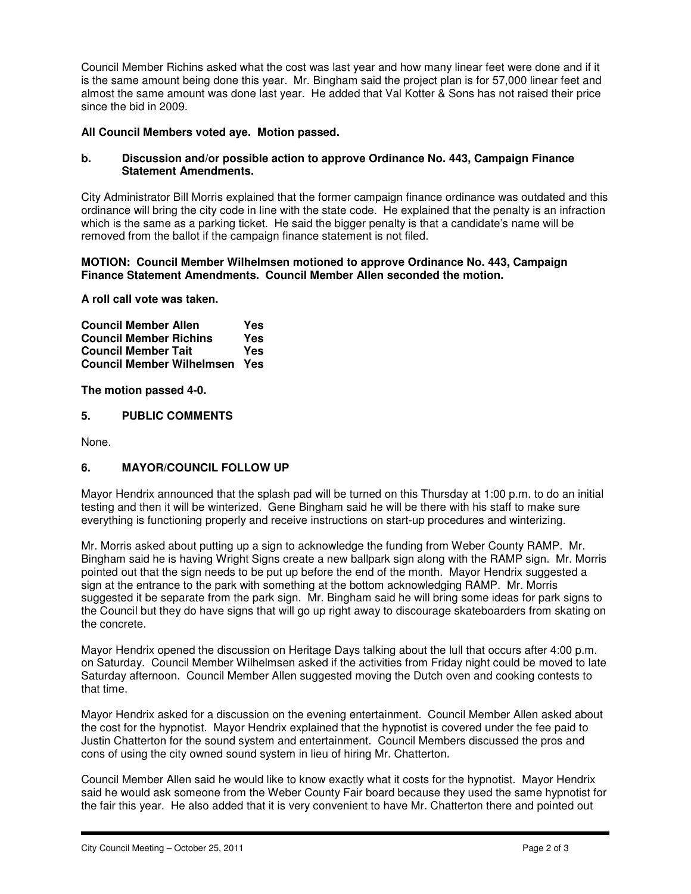Council Member Richins asked what the cost was last year and how many linear feet were done and if it is the same amount being done this year. Mr. Bingham said the project plan is for 57,000 linear feet and almost the same amount was done last year. He added that Val Kotter & Sons has not raised their price since the bid in 2009.

### **All Council Members voted aye. Motion passed.**

#### **b. Discussion and/or possible action to approve Ordinance No. 443, Campaign Finance Statement Amendments.**

City Administrator Bill Morris explained that the former campaign finance ordinance was outdated and this ordinance will bring the city code in line with the state code. He explained that the penalty is an infraction which is the same as a parking ticket. He said the bigger penalty is that a candidate's name will be removed from the ballot if the campaign finance statement is not filed.

#### **MOTION: Council Member Wilhelmsen motioned to approve Ordinance No. 443, Campaign Finance Statement Amendments. Council Member Allen seconded the motion.**

**A roll call vote was taken.** 

**Council Member Allen Yes Council Member Richins Yes Council Member Tait Council Member Wilhelmsen Yes** 

**The motion passed 4-0.** 

### **5. PUBLIC COMMENTS**

None.

## **6. MAYOR/COUNCIL FOLLOW UP**

Mayor Hendrix announced that the splash pad will be turned on this Thursday at 1:00 p.m. to do an initial testing and then it will be winterized. Gene Bingham said he will be there with his staff to make sure everything is functioning properly and receive instructions on start-up procedures and winterizing.

Mr. Morris asked about putting up a sign to acknowledge the funding from Weber County RAMP. Mr. Bingham said he is having Wright Signs create a new ballpark sign along with the RAMP sign. Mr. Morris pointed out that the sign needs to be put up before the end of the month. Mayor Hendrix suggested a sign at the entrance to the park with something at the bottom acknowledging RAMP. Mr. Morris suggested it be separate from the park sign. Mr. Bingham said he will bring some ideas for park signs to the Council but they do have signs that will go up right away to discourage skateboarders from skating on the concrete.

Mayor Hendrix opened the discussion on Heritage Days talking about the lull that occurs after 4:00 p.m. on Saturday. Council Member Wilhelmsen asked if the activities from Friday night could be moved to late Saturday afternoon. Council Member Allen suggested moving the Dutch oven and cooking contests to that time.

Mayor Hendrix asked for a discussion on the evening entertainment. Council Member Allen asked about the cost for the hypnotist. Mayor Hendrix explained that the hypnotist is covered under the fee paid to Justin Chatterton for the sound system and entertainment. Council Members discussed the pros and cons of using the city owned sound system in lieu of hiring Mr. Chatterton.

Council Member Allen said he would like to know exactly what it costs for the hypnotist. Mayor Hendrix said he would ask someone from the Weber County Fair board because they used the same hypnotist for the fair this year. He also added that it is very convenient to have Mr. Chatterton there and pointed out